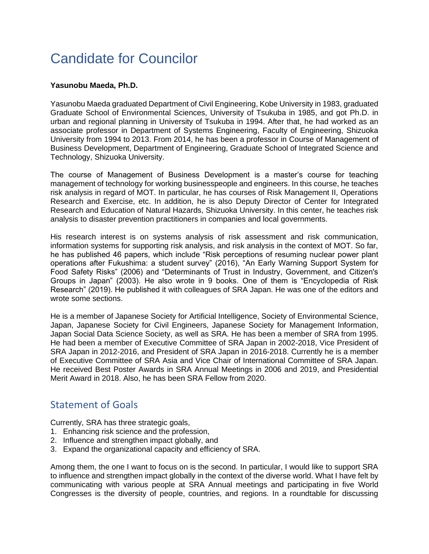## Candidate for Councilor

## **Yasunobu Maeda, Ph.D.**

Yasunobu Maeda graduated Department of Civil Engineering, Kobe University in 1983, graduated Graduate School of Environmental Sciences, University of Tsukuba in 1985, and got Ph.D. in urban and regional planning in University of Tsukuba in 1994. After that, he had worked as an associate professor in Department of Systems Engineering, Faculty of Engineering, Shizuoka University from 1994 to 2013. From 2014, he has been a professor in Course of Management of Business Development, Department of Engineering, Graduate School of Integrated Science and Technology, Shizuoka University.

The course of Management of Business Development is a master's course for teaching management of technology for working businesspeople and engineers. In this course, he teaches risk analysis in regard of MOT. In particular, he has courses of Risk Management II, Operations Research and Exercise, etc. In addition, he is also Deputy Director of Center for Integrated Research and Education of Natural Hazards, Shizuoka University. In this center, he teaches risk analysis to disaster prevention practitioners in companies and local governments.

His research interest is on systems analysis of risk assessment and risk communication, information systems for supporting risk analysis, and risk analysis in the context of MOT. So far, he has published 46 papers, which include "Risk perceptions of resuming nuclear power plant operations after Fukushima: a student survey" (2016), "An Early Warning Support System for Food Safety Risks" (2006) and "Determinants of Trust in Industry, Government, and Citizen's Groups in Japan" (2003). He also wrote in 9 books. One of them is "Encyclopedia of Risk Research" (2019). He published it with colleagues of SRA Japan. He was one of the editors and wrote some sections.

He is a member of Japanese Society for Artificial Intelligence, Society of Environmental Science, Japan, Japanese Society for Civil Engineers, Japanese Society for Management Information, Japan Social Data Science Society, as well as SRA. He has been a member of SRA from 1995. He had been a member of Executive Committee of SRA Japan in 2002-2018, Vice President of SRA Japan in 2012-2016, and President of SRA Japan in 2016-2018. Currently he is a member of Executive Committee of SRA Asia and Vice Chair of International Committee of SRA Japan. He received Best Poster Awards in SRA Annual Meetings in 2006 and 2019, and Presidential Merit Award in 2018. Also, he has been SRA Fellow from 2020.

## Statement of Goals

Currently, SRA has three strategic goals,

- 1. Enhancing risk science and the profession,
- 2. Influence and strengthen impact globally, and
- 3. Expand the organizational capacity and efficiency of SRA.

Among them, the one I want to focus on is the second. In particular, I would like to support SRA to influence and strengthen impact globally in the context of the diverse world. What I have felt by communicating with various people at SRA Annual meetings and participating in five World Congresses is the diversity of people, countries, and regions. In a roundtable for discussing